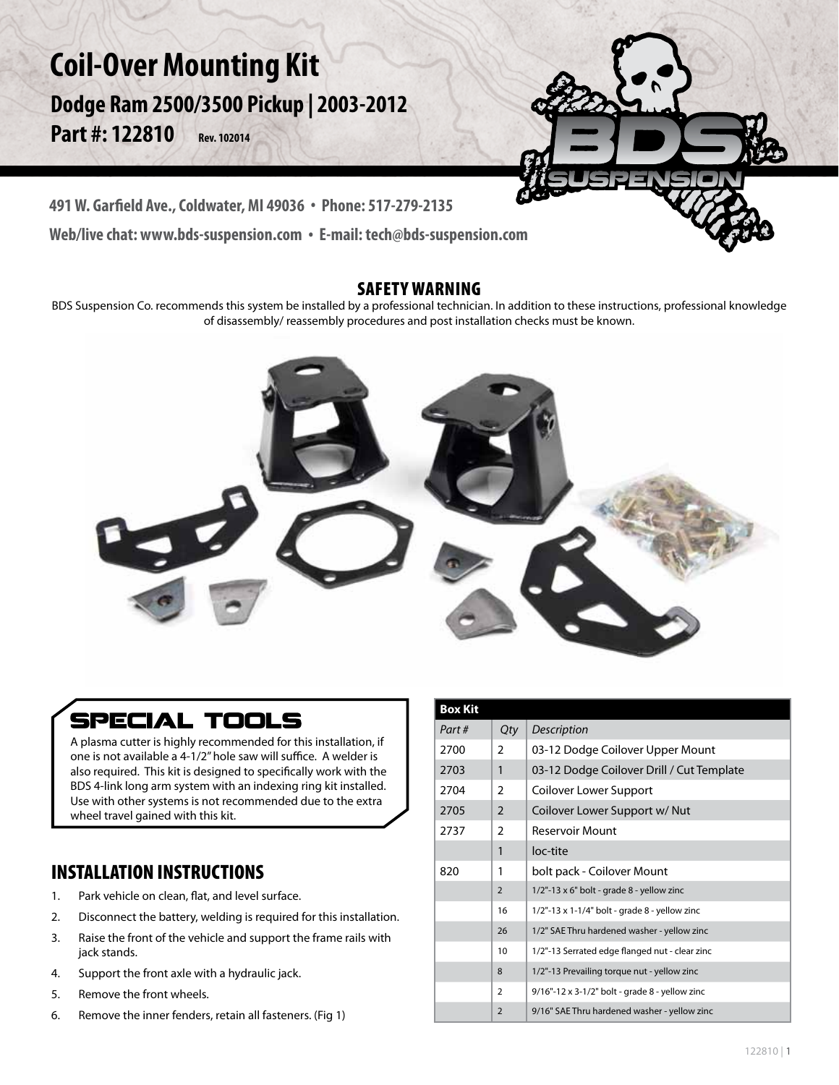# **Coil-Over Mounting Kit**

**Dodge Ram 2500/3500 Pickup | 2003-2012 Part #: 122810 Rev. 102014**



**491 W. Garfield Ave., Coldwater, MI 49036 . Phone: 517-279-2135**

**Web/live chat: www.bds-suspension.com . E-mail: tech@bds-suspension.com**

### SAFETY WARNING

BDS Suspension Co. recommends this system be installed by a professional technician. In addition to these instructions, professional knowledge of disassembly/ reassembly procedures and post installation checks must be known.



## **SPECIAL TOOLS**

A plasma cutter is highly recommended for this installation, if one is not available a 4-1/2" hole saw will suffice. A welder is also required. This kit is designed to specifically work with the BDS 4-link long arm system with an indexing ring kit installed. Use with other systems is not recommended due to the extra wheel travel gained with this kit.

### INSTALLATION INSTRUCTIONS

- 1. Park vehicle on clean, flat, and level surface.
- 2. Disconnect the battery, welding is required for this installation.
- 3. Raise the front of the vehicle and support the frame rails with jack stands.
- 4. Support the front axle with a hydraulic jack.
- 5. Remove the front wheels.
- 6. Remove the inner fenders, retain all fasteners. (Fig 1)

| <b>Box Kit</b> |                |                                                  |
|----------------|----------------|--------------------------------------------------|
| Part#          | Qty            | Description                                      |
| 2700           | $\overline{2}$ | 03-12 Dodge Coilover Upper Mount                 |
|                |                |                                                  |
| 2703           | 1              | 03-12 Dodge Coilover Drill / Cut Template        |
| 2704           | $\overline{2}$ | Coilover Lower Support                           |
| 2705           | $\mathfrak{D}$ | Coilover Lower Support w/ Nut                    |
| 2737           | 2              | <b>Reservoir Mount</b>                           |
|                | 1              | loc-tite                                         |
| 820            | 1              | bolt pack - Coilover Mount                       |
|                | $\overline{2}$ | $1/2$ "-13 x 6" bolt - grade 8 - yellow zinc     |
|                | 16             | $1/2$ "-13 x 1-1/4" bolt - grade 8 - yellow zinc |
|                | 26             | 1/2" SAE Thru hardened washer - yellow zinc      |
|                | 10             | 1/2"-13 Serrated edge flanged nut - clear zinc   |
|                | 8              | 1/2"-13 Prevailing torque nut - yellow zinc      |
|                | $\overline{2}$ | 9/16"-12 x 3-1/2" bolt - grade 8 - yellow zinc   |
|                | $\overline{2}$ | 9/16" SAE Thru hardened washer - yellow zinc     |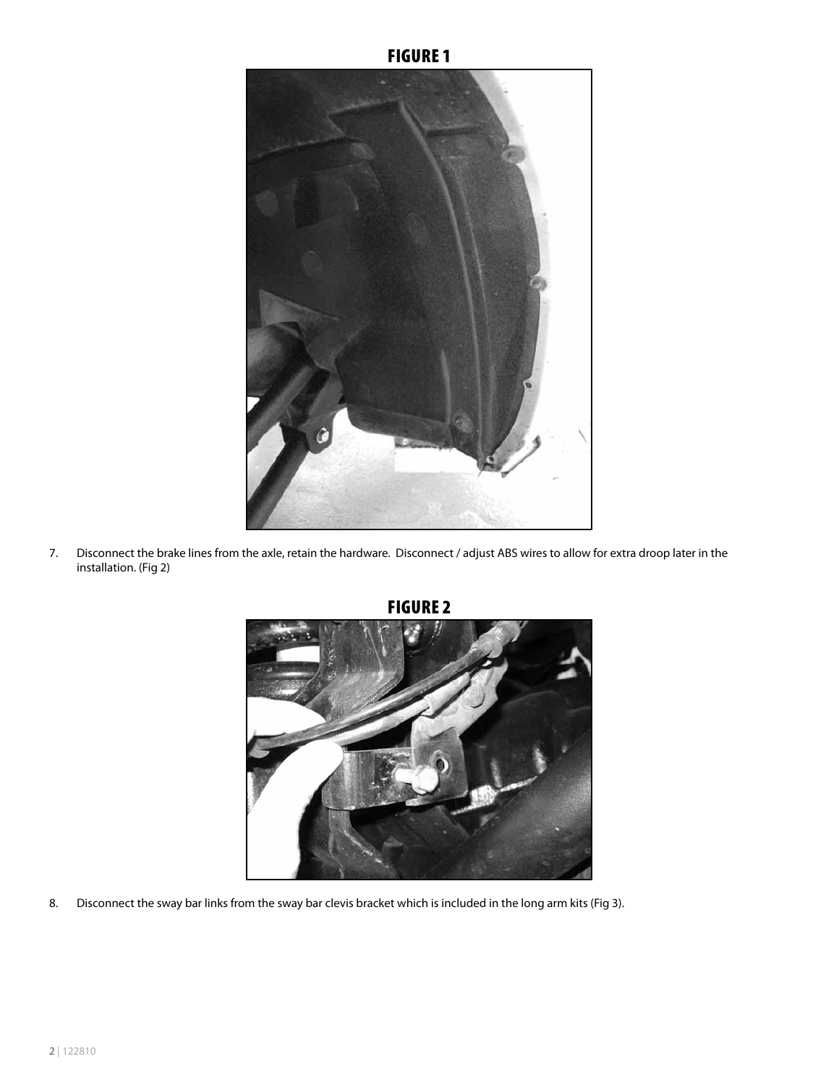

7. Disconnect the brake lines from the axle, retain the hardware. Disconnect / adjust ABS wires to allow for extra droop later in the installation. (Fig 2)



Figure 2

8. Disconnect the sway bar links from the sway bar clevis bracket which is included in the long arm kits (Fig 3).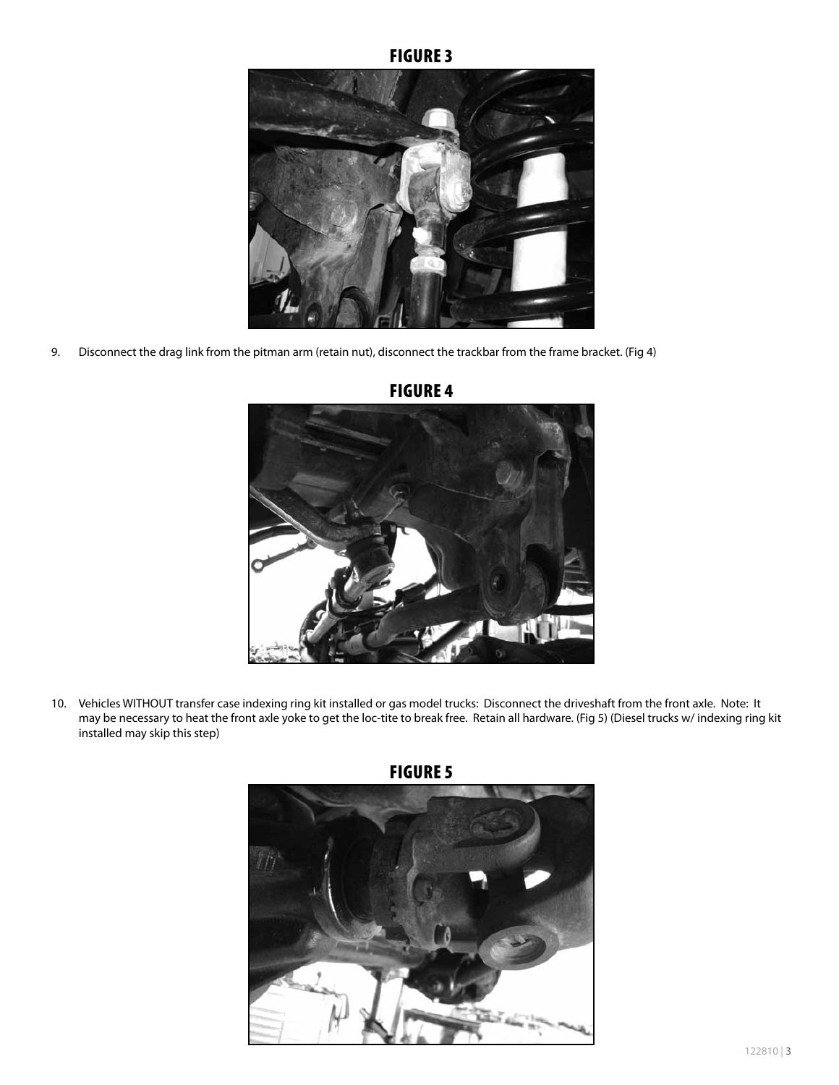#### **FIGURE 3**



9. Disconnect the drag link from the pitman arm (retain nut), disconnect the trackbar from the frame bracket. (Fig 4)



#### Figure 4

10. Vehicles WITHOUT transfer case indexing ring kit installed or gas model trucks: Disconnect the driveshaft from the front axle. Note: It may be necessary to heat the front axle yoke to get the loc-tite to break free. Retain all hardware. (Fig 5) (Diesel trucks w/ indexing ring kit installed may skip this step)



FIGURE 5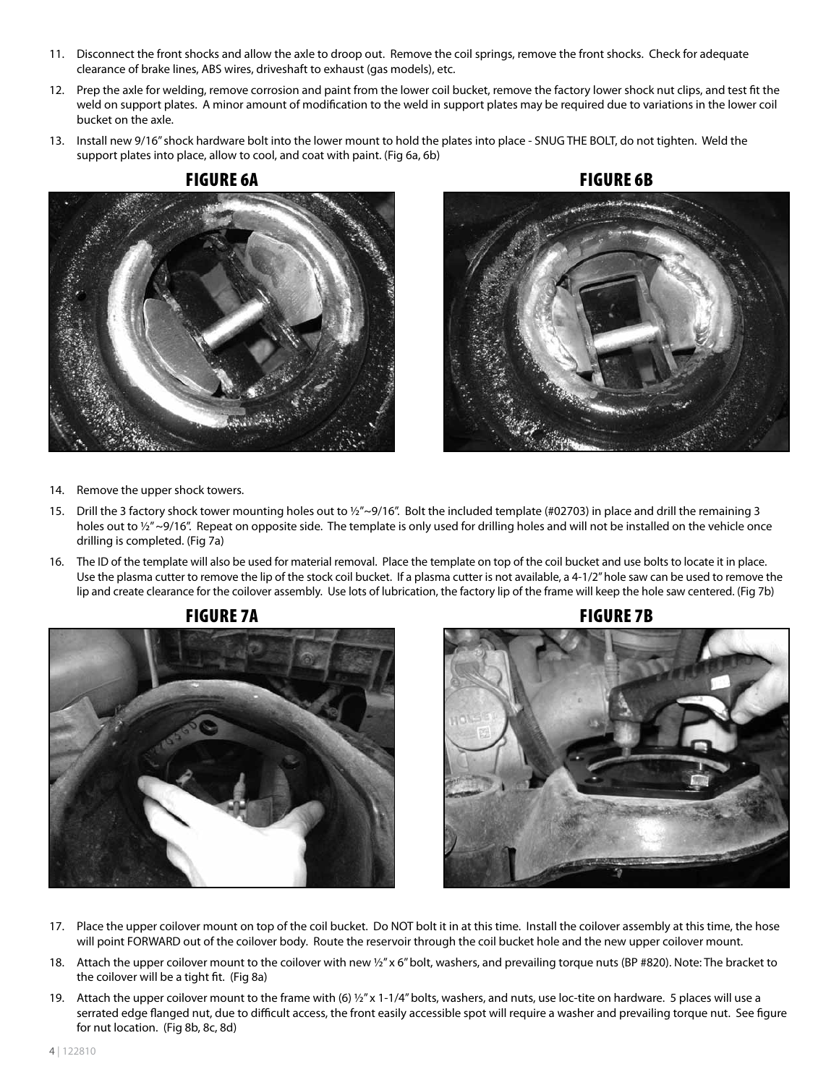- 11. Disconnect the front shocks and allow the axle to droop out. Remove the coil springs, remove the front shocks. Check for adequate clearance of brake lines, ABS wires, driveshaft to exhaust (gas models), etc.
- 12. Prep the axle for welding, remove corrosion and paint from the lower coil bucket, remove the factory lower shock nut clips, and test fit the weld on support plates. A minor amount of modification to the weld in support plates may be required due to variations in the lower coil bucket on the axle.
- 13. Install new 9/16" shock hardware bolt into the lower mount to hold the plates into place SNUG THE BOLT, do not tighten. Weld the support plates into place, allow to cool, and coat with paint. (Fig 6a, 6b)





- 14. Remove the upper shock towers.
- 15. Drill the 3 factory shock tower mounting holes out to  $\frac{1}{2}$  ~9/16". Bolt the included template (#02703) in place and drill the remaining 3 holes out to  $\frac{1}{2}$  ~9/16". Repeat on opposite side. The template is only used for drilling holes and will not be installed on the vehicle once drilling is completed. (Fig 7a)
- 16. The ID of the template will also be used for material removal. Place the template on top of the coil bucket and use bolts to locate it in place. Use the plasma cutter to remove the lip of the stock coil bucket. If a plasma cutter is not available, a 4-1/2" hole saw can be used to remove the lip and create clearance for the coilover assembly. Use lots of lubrication, the factory lip of the frame will keep the hole saw centered. (Fig 7b)





- 17. Place the upper coilover mount on top of the coil bucket. Do NOT bolt it in at this time. Install the coilover assembly at this time, the hose will point FORWARD out of the coilover body. Route the reservoir through the coil bucket hole and the new upper coilover mount.
- 18. Attach the upper coilover mount to the coilover with new 1/2" x 6" bolt, washers, and prevailing torque nuts (BP #820). Note: The bracket to the coilover will be a tight fit. (Fig 8a)
- 19. Attach the upper coilover mount to the frame with (6)  $\frac{1}{2}$ " x 1-1/4" bolts, washers, and nuts, use loc-tite on hardware. 5 places will use a serrated edge flanged nut, due to difficult access, the front easily accessible spot will require a washer and prevailing torque nut. See figure for nut location. (Fig 8b, 8c, 8d)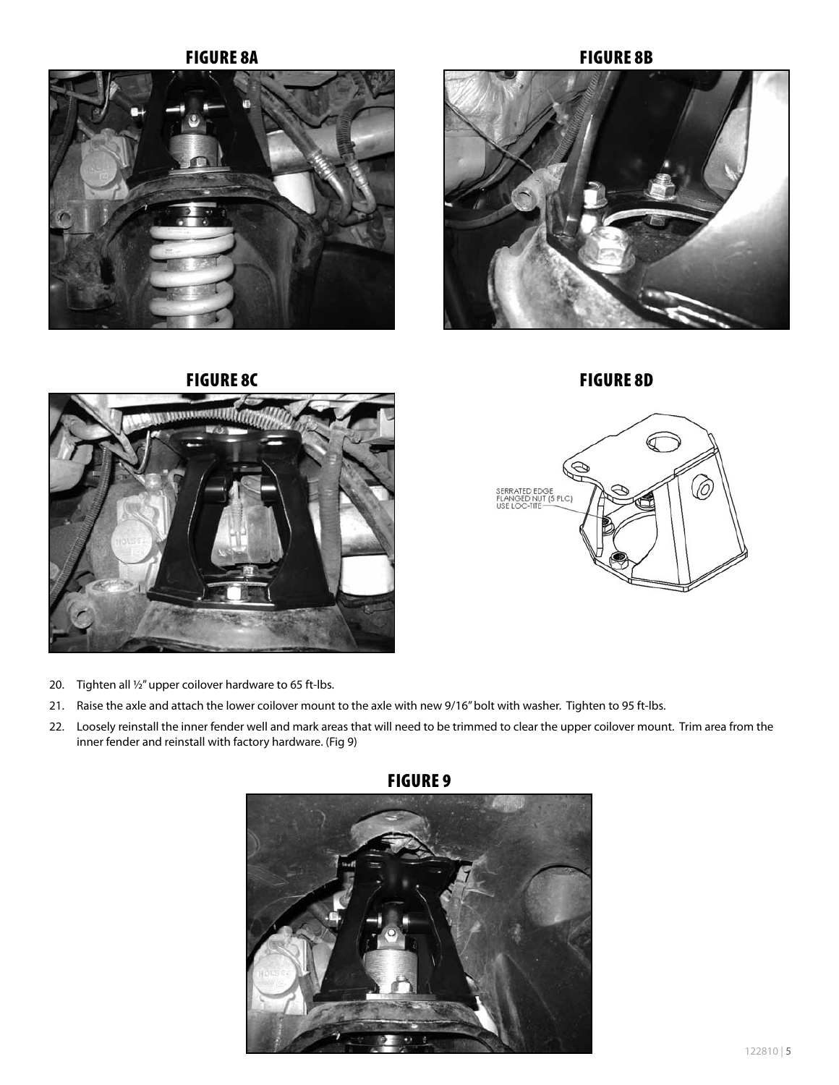







 $\sigma^-$ Ø Õ SERRATED EDGE<br>FLANGED NUT (5 PLC)<br>USE LOC-TITE

- 20. Tighten all ½" upper coilover hardware to 65 ft-lbs.
- 21. Raise the axle and attach the lower coilover mount to the axle with new 9/16" bolt with washer. Tighten to 95 ft-lbs.
- 22. Loosely reinstall the inner fender well and mark areas that will need to be trimmed to clear the upper coilover mount. Trim area from the inner fender and reinstall with factory hardware. (Fig 9)